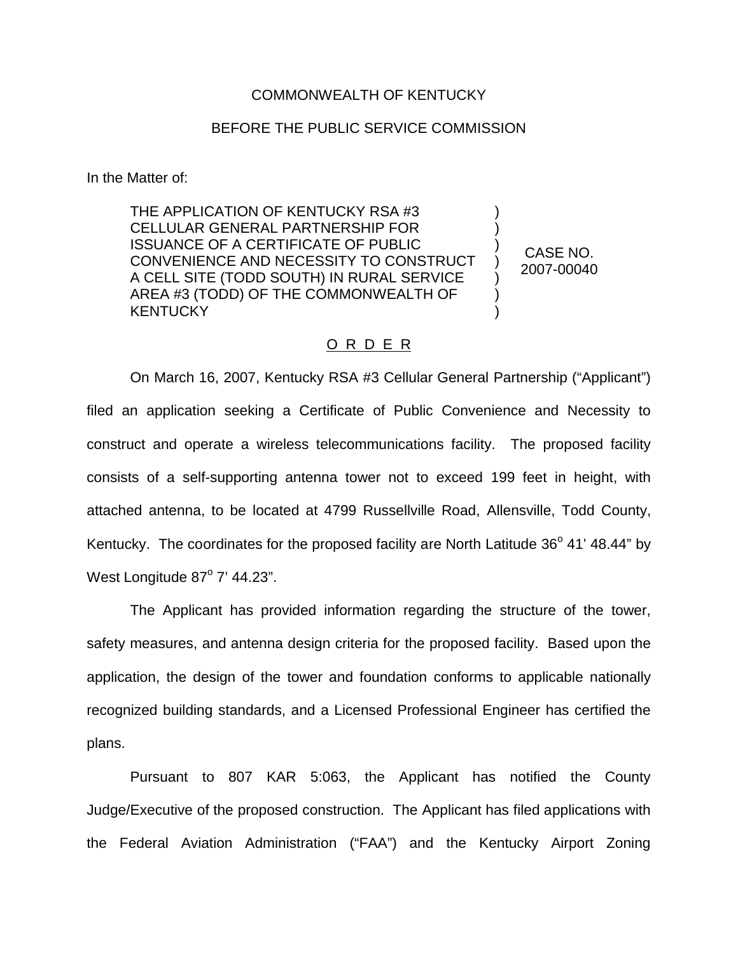## COMMONWEALTH OF KENTUCKY

## BEFORE THE PUBLIC SERVICE COMMISSION

In the Matter of:

THE APPLICATION OF KENTUCKY RSA #3 CELLULAR GENERAL PARTNERSHIP FOR ISSUANCE OF A CERTIFICATE OF PUBLIC CONVENIENCE AND NECESSITY TO CONSTRUCT A CELL SITE (TODD SOUTH) IN RURAL SERVICE AREA #3 (TODD) OF THE COMMONWEALTH OF **KENTUCKY** ) ) ) ) ) ) )

CASE NO. 2007-00040

## O R D E R

On March 16, 2007, Kentucky RSA #3 Cellular General Partnership ("Applicant") filed an application seeking a Certificate of Public Convenience and Necessity to construct and operate a wireless telecommunications facility. The proposed facility consists of a self-supporting antenna tower not to exceed 199 feet in height, with attached antenna, to be located at 4799 Russellville Road, Allensville, Todd County, Kentucky. The coordinates for the proposed facility are North Latitude  $36^{\circ}$  41' 48.44" by West Longitude  $87^\circ$  7' 44.23".

The Applicant has provided information regarding the structure of the tower, safety measures, and antenna design criteria for the proposed facility. Based upon the application, the design of the tower and foundation conforms to applicable nationally recognized building standards, and a Licensed Professional Engineer has certified the plans.

Pursuant to 807 KAR 5:063, the Applicant has notified the County Judge/Executive of the proposed construction. The Applicant has filed applications with the Federal Aviation Administration ("FAA") and the Kentucky Airport Zoning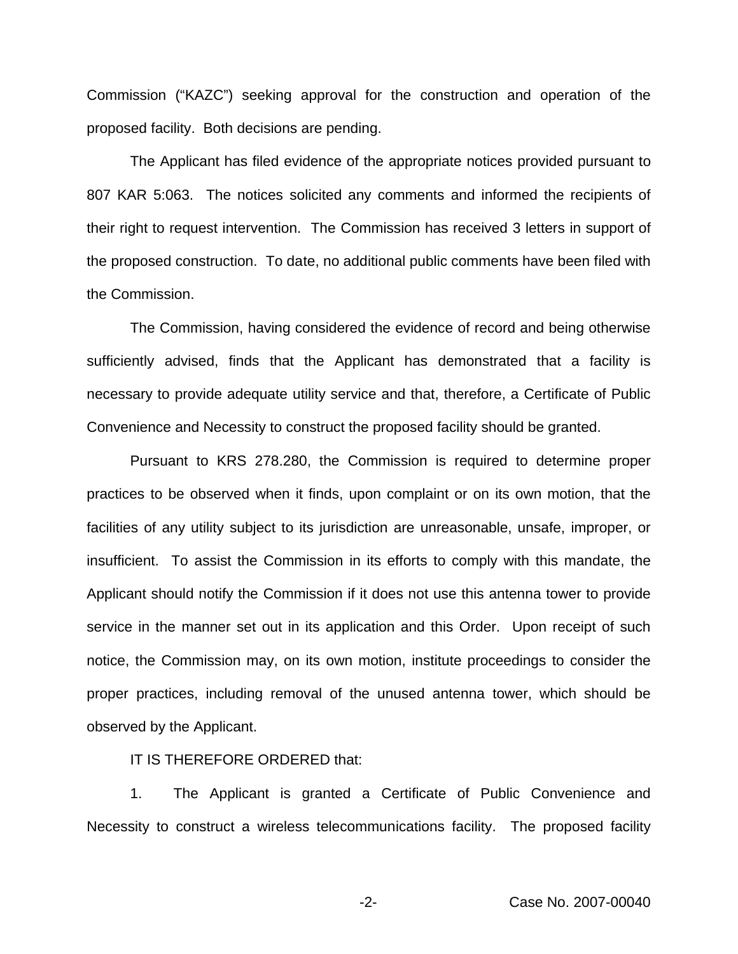Commission ("KAZC") seeking approval for the construction and operation of the proposed facility. Both decisions are pending.

The Applicant has filed evidence of the appropriate notices provided pursuant to 807 KAR 5:063. The notices solicited any comments and informed the recipients of their right to request intervention. The Commission has received 3 letters in support of the proposed construction. To date, no additional public comments have been filed with the Commission.

The Commission, having considered the evidence of record and being otherwise sufficiently advised, finds that the Applicant has demonstrated that a facility is necessary to provide adequate utility service and that, therefore, a Certificate of Public Convenience and Necessity to construct the proposed facility should be granted.

Pursuant to KRS 278.280, the Commission is required to determine proper practices to be observed when it finds, upon complaint or on its own motion, that the facilities of any utility subject to its jurisdiction are unreasonable, unsafe, improper, or insufficient. To assist the Commission in its efforts to comply with this mandate, the Applicant should notify the Commission if it does not use this antenna tower to provide service in the manner set out in its application and this Order. Upon receipt of such notice, the Commission may, on its own motion, institute proceedings to consider the proper practices, including removal of the unused antenna tower, which should be observed by the Applicant.

## IT IS THEREFORE ORDERED that:

1. The Applicant is granted a Certificate of Public Convenience and Necessity to construct a wireless telecommunications facility. The proposed facility